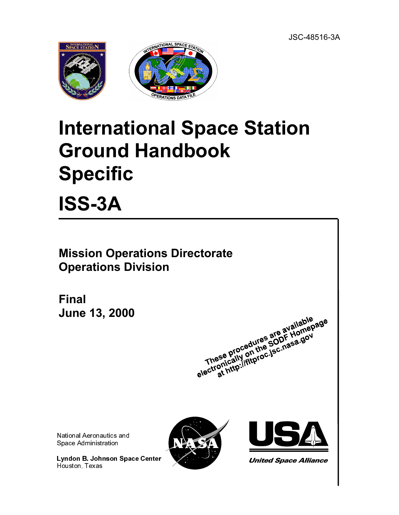JSC-48516-3A



# International Space Station Ground Handbook Specific

ISS-3A

Mission Operations Directorate Operations Division

Final June 13, 2000



These procedures are available<br>These procedures are available<br>electronically on the SODF Homepage

**United Space Alliance** 

National Aeronautics and Space Administration

Lyndon B. Johnson Space Center Houston, Texas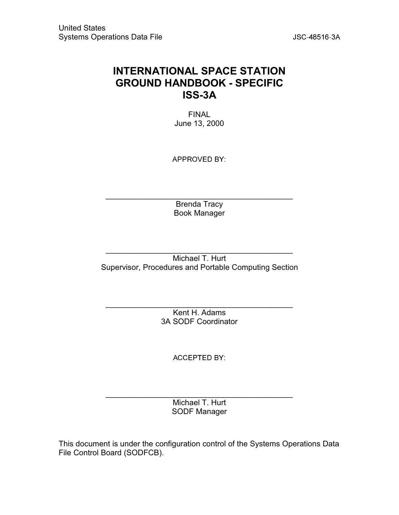## INTERNATIONAL SPACE STATION GROUND HANDBOOK - SPECIFIC ISS-3A

FINAL June 13, 2000

APPROVED BY:

\_\_\_\_\_\_\_\_\_\_\_\_\_\_\_\_\_\_\_\_\_\_\_\_\_\_\_\_\_\_\_\_\_\_\_\_\_\_\_\_\_\_\_ Brenda Tracy Book Manager

\_\_\_\_\_\_\_\_\_\_\_\_\_\_\_\_\_\_\_\_\_\_\_\_\_\_\_\_\_\_\_\_\_\_\_\_\_\_\_\_\_\_\_ Michael T. Hurt Supervisor, Procedures and Portable Computing Section

\_\_\_\_\_\_\_\_\_\_\_\_\_\_\_\_\_\_\_\_\_\_\_\_\_\_\_\_\_\_\_\_\_\_\_\_\_\_\_\_\_\_\_ Kent H. Adams 3A SODF Coordinator

ACCEPTED BY:

\_\_\_\_\_\_\_\_\_\_\_\_\_\_\_\_\_\_\_\_\_\_\_\_\_\_\_\_\_\_\_\_\_\_\_\_\_\_\_\_\_\_\_ Michael T. Hurt SODF Manager

This document is under the configuration control of the Systems Operations Data File Control Board (SODFCB).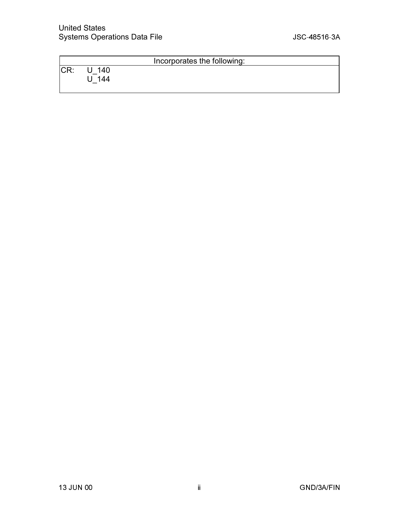|     |             | Incorporates the following: |  |
|-----|-------------|-----------------------------|--|
| ICR | -140<br>144 |                             |  |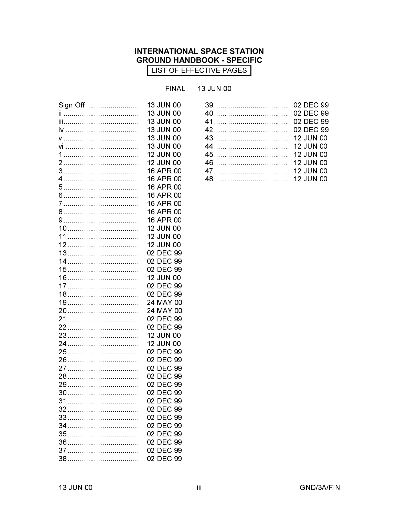## **INTERNATIONAL SPACE STATION GROUND HANDBOOK - SPECIFIC**

LIST OF EFFECTIVE PAGES

#### FINAL 13 JUN 00

| Sign Off | 13 JUN 00                     |
|----------|-------------------------------|
|          | 13 JUN 00                     |
|          | 13 JUN 00                     |
|          | 13 JUN 00                     |
|          | <b>13 JUN 00</b>              |
|          | 13 JUN 00                     |
|          | 12 JUN 00                     |
|          | 12 JUN 00                     |
|          | 16 APR 00                     |
|          | 16 APR 00                     |
|          | 16 APR 00                     |
|          | 16 APR 00                     |
|          | 16 APR 00                     |
|          | 16 APR 00                     |
|          | 16 APR 00                     |
|          | 12 JUN 00                     |
|          | 12 JUN 00                     |
|          | 12 JUN 00                     |
|          | 02 DEC 99                     |
|          | 02 DEC 99                     |
|          | 02 DEC 99                     |
|          | 12 JUN 00                     |
|          | 02 DEC 99                     |
|          | 02 DEC 99                     |
|          | 24 MAY 00                     |
|          | 24 MAY 00                     |
|          | 02 DEC 99                     |
|          | 02 DEC 99                     |
|          | 12 JUN 00                     |
|          |                               |
|          | <b>12 JUN 00</b><br>02 DEC 99 |
|          | 02 DEC 99                     |
|          |                               |
|          | 02 DEC 99                     |
|          | 02 DEC 99                     |
|          | 02 DEC 99                     |
|          | 02 DEC 99                     |
|          | 02 DEC 99                     |
|          | 02 DEC 99                     |
|          | 02 DEC 99                     |
|          | 02 DEC 99                     |
| 35       | 02 DEC 99                     |
| 36       | 02 DEC 99                     |
|          | 02 DEC 99                     |
|          | 02 DEC 99                     |

| 02 DEC 99 |
|-----------|
| 02 DEC 99 |
| 02 DEC 99 |
| 02 DEC 99 |
| 12 JUN 00 |
|           |
| 12 JUN 00 |
| 12 JUN 00 |
|           |
|           |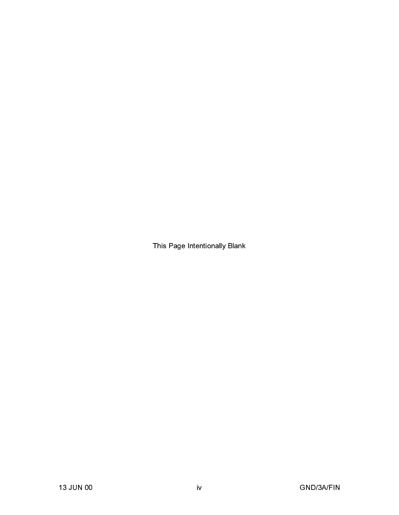This Page Intentionally Blank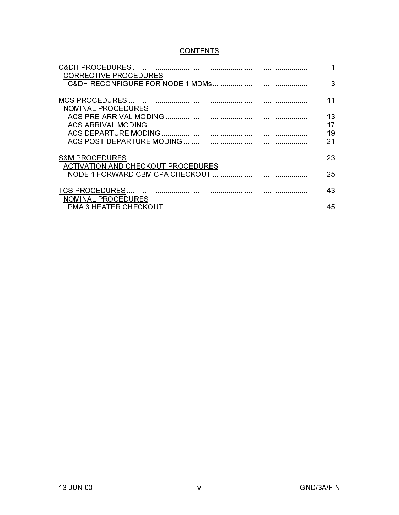## **CONTENTS**

| <b>CORRECTIVE PROCEDURES</b>              |    |
|-------------------------------------------|----|
|                                           | 3  |
| <b>NOMINAL PROCEDURES</b>                 | 11 |
|                                           | 13 |
|                                           | 17 |
|                                           | 19 |
|                                           | 21 |
|                                           | 23 |
| <b>ACTIVATION AND CHECKOUT PROCEDURES</b> |    |
|                                           | 25 |
|                                           | 43 |
| <b>NOMINAL PROCEDURES</b>                 |    |
|                                           | 45 |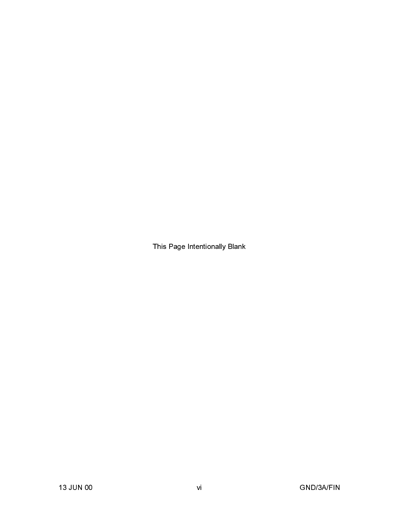This Page Intentionally Blank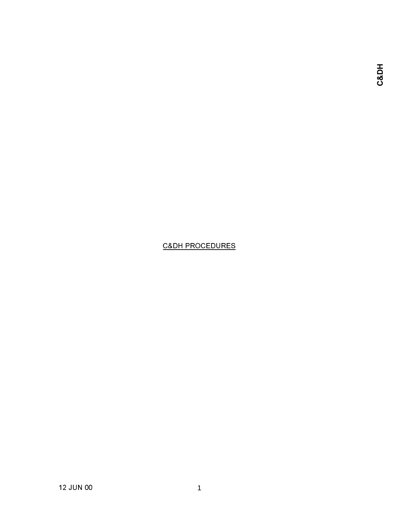C&DH PROCEDURES

1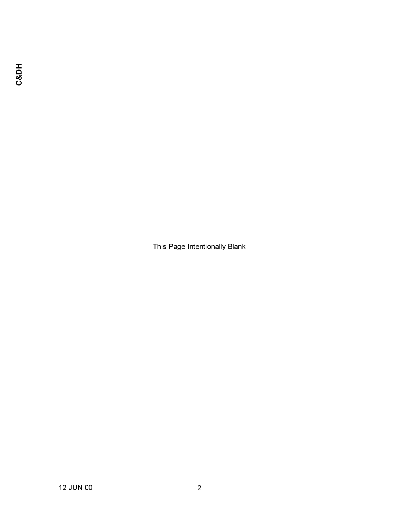This Page Intentionally Blank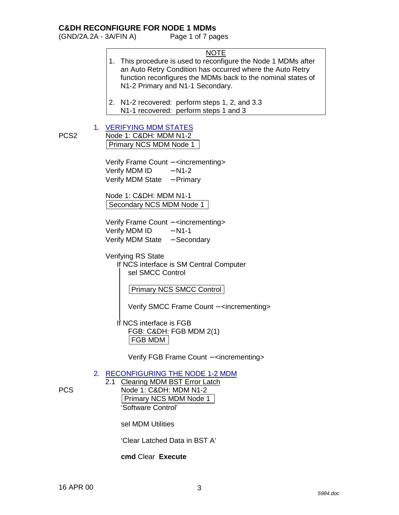(GND/2A.2A - 3A/FIN A) Page 1 of 7 pages

**NOTE** 1. This procedure is used to reconfigure the Node 1 MDMs after an Auto Retry Condition has occurred where the Auto Retry function reconfigures the MDMs back to the nominal states of N1-2 Primary and N1-1 Secondary. 2. N1-2 recovered: perform steps 1, 2, and 3.3 N1-1 recovered: perform steps 1 and 3 1. VERIFYING MDM STATES PCS2 Node 1: C&DH: MDM N1-2 Primary NCS MDM Node 1 Verify Frame Count – <incrementing> Verify MDM ID − N1-2 Verify MDM State – Primary Node 1: C&DH: MDM N1-1 Secondary NCS MDM Node 1 Verify Frame Count – <incrementing> Verify MDM ID − N1-1 Verify MDM State – Secondary Verifying RS State If NCS interface is SM Central Computer sel SMCC Control Primary NCS SMCC Control Verify SMCC Frame Count – <incrementing> If NCS interface is FGB FGB: C&DH: FGB MDM 2(1) FGB MDM Verify FGB Frame Count – <incrementing> 2. RECONFIGURING THE NODE 1-2 MDM

2.1 Clearing MDM BST Error Latch PCS Node 1: C&DH: MDM N1-2 Primary NCS MDM Node 1 'Software Control'

sel MDM Utilities

'Clear Latched Data in BST A'

**cmd** Clear **Execute**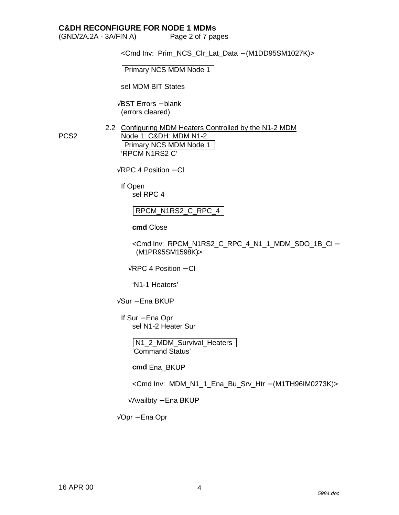(GND/2A.2A - 3A/FIN A) Page 2 of 7 pages

<Cmd Inv: Prim\_NCS\_Clr\_Lat\_Data − (M1DD95SM1027K)>

Primary NCS MDM Node 1

sel MDM BIT States

√BST Errors − blank (errors cleared)

2.2 Configuring MDM Heaters Controlled by the N1-2 MDM

PCS2 Node 1: C&DH: MDM N1-2 Primary NCS MDM Node 1 'RPCM N1RS2 C'

√RPC 4 Position − Cl

If Open sel RPC 4

#### RPCM\_N1RS2\_C\_RPC\_4

**cmd** Close

<Cmd Inv: RPCM\_N1RS2\_C\_RPC\_4\_N1\_1\_MDM\_SDO\_1B\_Cl − (M1PR95SM1598K)>

√RPC 4 Position − Cl

'N1-1 Heaters'

√Sur − Ena BKUP

If Sur − Ena Opr sel N1-2 Heater Sur

> N1\_2\_MDM\_Survival\_Heaters 'Command Status'

**cmd** Ena\_BKUP

<Cmd Inv: MDM\_N1\_1\_Ena\_Bu\_Srv\_Htr − (M1TH96IM0273K)>

√Availbty − Ena BKUP

√Opr − Ena Opr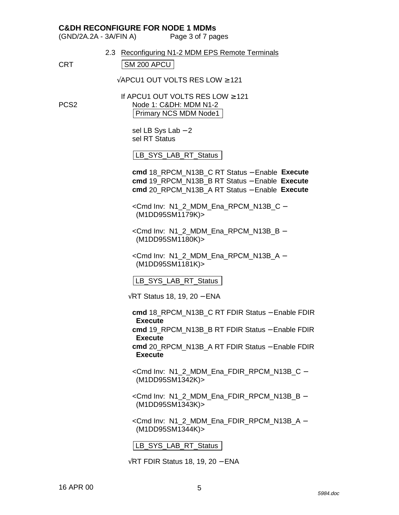(GND/2A.2A - 3A/FIN A) Page 3 of 7 pages

2.3 Reconfiguring N1-2 MDM EPS Remote Terminals

CRT SM 200 APCU

√APCU1 OUT VOLTS RES LOW ≥ 121

If APCU1 OUT VOLTS RES LOW ≥ 121 PCS2 Node 1: C&DH: MDM N1-2 Primary NCS MDM Node1

> sel LB Sys Lab − 2 sel RT Status

|LB\_SYS\_LAB\_RT\_Status |

**cmd** 18\_RPCM\_N13B\_C RT Status − Enable **Execute cmd** 19\_RPCM\_N13B\_B RT Status − Enable **Execute cmd** 20\_RPCM\_N13B\_A RT Status − Enable **Execute**

<Cmd Inv: N1\_2\_MDM\_Ena\_RPCM\_N13B\_C − (M1DD95SM1179K)>

<Cmd Inv: N1\_2\_MDM\_Ena\_RPCM\_N13B\_B − (M1DD95SM1180K)>

<Cmd Inv: N1\_2\_MDM\_Ena\_RPCM\_N13B\_A − (M1DD95SM1181K)>

LB\_SYS\_LAB\_RT\_Status

√RT Status 18, 19, 20 − ENA

**cmd** 18\_RPCM\_N13B\_C RT FDIR Status − Enable FDIR **Execute**

**cmd** 19\_RPCM\_N13B\_B RT FDIR Status − Enable FDIR **Execute**

**cmd** 20\_RPCM\_N13B\_A RT FDIR Status − Enable FDIR **Execute**

<Cmd Inv: N1\_2\_MDM\_Ena\_FDIR\_RPCM\_N13B\_C − (M1DD95SM1342K)>

<Cmd Inv: N1\_2\_MDM\_Ena\_FDIR\_RPCM\_N13B\_B − (M1DD95SM1343K)>

<Cmd Inv: N1\_2\_MDM\_Ena\_FDIR\_RPCM\_N13B\_A − (M1DD95SM1344K)>

#### LB\_SYS\_LAB\_RT\_Status

√RT FDIR Status 18, 19, 20 − ENA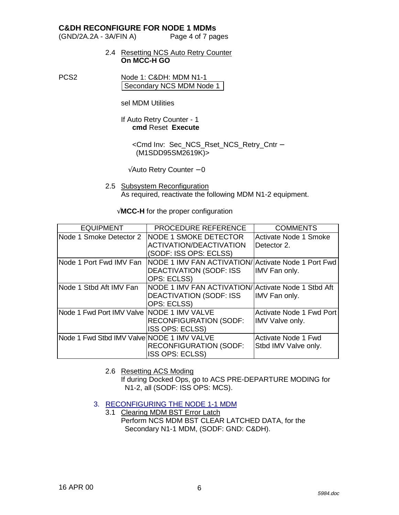2.4 Resetting NCS Auto Retry Counter **On MCC-H GO**

PCS2 Node 1: C&DH: MDM N1-1 Secondary NCS MDM Node 1

sel MDM Utilities

If Auto Retry Counter - 1 **cmd** Reset **Execute**

> <Cmd Inv: Sec\_NCS\_Rset\_NCS\_Retry\_Cntr − (M1SDD95SM2619K)>

√Auto Retry Counter − 0

2.5 Subsystem Reconfiguration As required, reactivate the following MDM N1-2 equipment.

√**MCC-H** for the proper configuration

| <b>EQUIPMENT</b>                            | PROCEDURE REFERENCE                                 | <b>COMMENTS</b>          |
|---------------------------------------------|-----------------------------------------------------|--------------------------|
| Node 1 Smoke Detector 2                     | <b>INODE 1 SMOKE DETECTOR</b>                       | Activate Node 1 Smoke    |
|                                             | ACTIVATION/DEACTIVATION                             | IDetector 2.             |
|                                             | (SODF: ISS OPS: ECLSS)                              |                          |
| Node 1 Port Fwd IMV Fan                     | NODE 1 IMV FAN ACTIVATION/ Activate Node 1 Port Fwd |                          |
|                                             | <b>DEACTIVATION (SODF: ISS</b>                      | IMV Fan only.            |
|                                             | <b>OPS: ECLSS)</b>                                  |                          |
| Node 1 Stbd Aft IMV Fan                     | NODE 1 IMV FAN ACTIVATION/ Activate Node 1 Stbd Aft |                          |
|                                             | <b>DEACTIVATION (SODF: ISS)</b>                     | IMV Fan only.            |
|                                             | <b>OPS: ECLSS)</b>                                  |                          |
| Node 1 Fwd Port IMV Valve INODE 1 IMV VALVE |                                                     | Activate Node 1 Fwd Port |
|                                             | <b>RECONFIGURATION (SODF:</b>                       | <b>IMV Valve only.</b>   |
|                                             | <b>ISS OPS: ECLSS)</b>                              |                          |
| Node 1 Fwd Stbd IMV Valve NODE 1 IMV VALVE  |                                                     | Activate Node 1 Fwd      |
|                                             | <b>RECONFIGURATION (SODF:</b>                       | Stbd IMV Valve only.     |
|                                             | <b>ISS OPS: ECLSS)</b>                              |                          |

2.6 Resetting ACS Moding

If during Docked Ops, go to ACS PRE-DEPARTURE MODING for N1-2, all (SODF: ISS OPS: MCS).

- 3. RECONFIGURING THE NODE 1-1 MDM
	- 3.1 Clearing MDM BST Error Latch Perform NCS MDM BST CLEAR LATCHED DATA, for the Secondary N1-1 MDM, (SODF: GND: C&DH).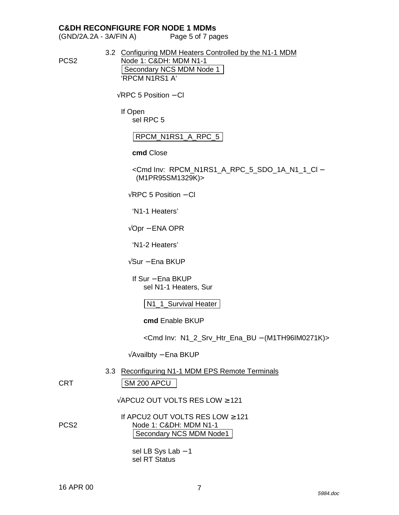(GND/2A.2A - 3A/FIN A) Page 5 of 7 pages

3.2 Configuring MDM Heaters Controlled by the N1-1 MDM PCS2 Node 1: C&DH: MDM N1-1 Secondary NCS MDM Node 1 'RPCM N1RS1 A'

√RPC 5 Position − Cl

If Open sel RPC 5

#### RPCM\_N1RS1\_A\_RPC\_5

**cmd** Close

<Cmd Inv: RPCM\_N1RS1\_A\_RPC\_5\_SDO\_1A\_N1\_1\_Cl − (M1PR95SM1329K)>

√RPC 5 Position − Cl

'N1-1 Heaters'

√Opr − ENA OPR

'N1-2 Heaters'

√Sur − Ena BKUP

If Sur − Ena BKUP sel N1-1 Heaters, Sur

N1\_1\_Survival Heater

**cmd** Enable BKUP

<Cmd Inv: N1\_2\_Srv\_Htr\_Ena\_BU − (M1TH96IM0271K)>

√Availbty − Ena BKUP

3.3 Reconfiguring N1-1 MDM EPS Remote Terminals

CRT SM 200 APCU

√APCU2 OUT VOLTS RES LOW ≥ 121

If APCU2 OUT VOLTS RES LOW ≥ 121 PCS2 Node 1: C&DH: MDM N1-1 Secondary NCS MDM Node1

> sel LB Sys Lab – 1 sel RT Status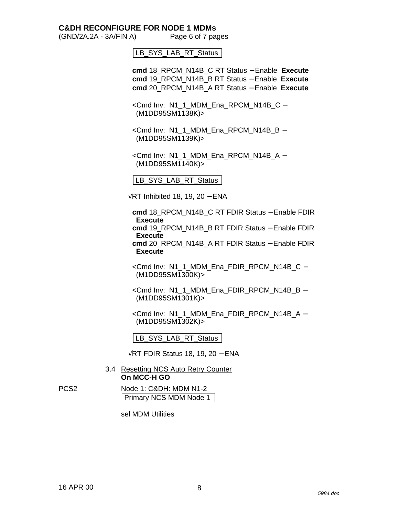(GND/2A.2A - 3A/FIN A) Page 6 of 7 pages

LB\_SYS\_LAB\_RT\_Status

**cmd** 18\_RPCM\_N14B\_C RT Status − Enable **Execute cmd** 19\_RPCM\_N14B\_B RT Status − Enable **Execute cmd** 20\_RPCM\_N14B\_A RT Status − Enable **Execute**

<Cmd Inv: N1\_1\_MDM\_Ena\_RPCM\_N14B\_C − (M1DD95SM1138K)>

<Cmd Inv: N1\_1\_MDM\_Ena\_RPCM\_N14B\_B − (M1DD95SM1139K)>

<Cmd Inv: N1\_1\_MDM\_Ena\_RPCM\_N14B\_A − (M1DD95SM1140K)>

#### |LB\_SYS\_LAB\_RT\_Status |

√RT Inhibited 18, 19, 20 − ENA

**cmd** 18\_RPCM\_N14B\_C RT FDIR Status − Enable FDIR **Execute**

**cmd** 19\_RPCM\_N14B\_B RT FDIR Status − Enable FDIR **Execute**

**cmd** 20\_RPCM\_N14B\_A RT FDIR Status − Enable FDIR **Execute**

<Cmd Inv: N1\_1\_MDM\_Ena\_FDIR\_RPCM\_N14B\_C − (M1DD95SM1300K)>

<Cmd Inv: N1\_1\_MDM\_Ena\_FDIR\_RPCM\_N14B\_B − (M1DD95SM1301K)>

<Cmd Inv: N1\_1\_MDM\_Ena\_FDIR\_RPCM\_N14B\_A − (M1DD95SM1302K)>

|LB\_SYS\_LAB\_RT\_Status\_

√RT FDIR Status 18, 19, 20 − ENA

3.4 Resetting NCS Auto Retry Counter **On MCC-H GO**

PCS2 Node 1: C&DH: MDM N1-2 Primary NCS MDM Node 1

sel MDM Utilities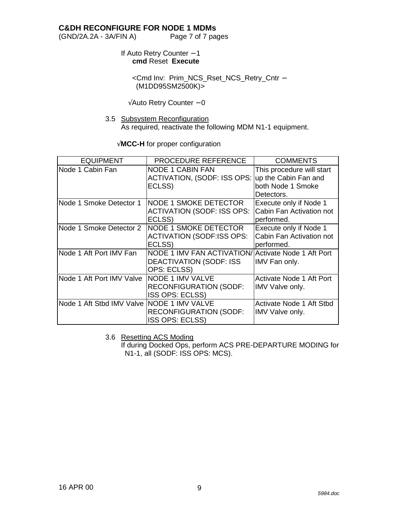(GND/2A.2A - 3A/FIN A) Page 7 of 7 pages

If Auto Retry Counter − 1 **cmd** Reset **Execute**

> <Cmd Inv: Prim\_NCS\_Rset\_NCS\_Retry\_Cntr − (M1DD95SM2500K)>

√Auto Retry Counter − 0

3.5 Subsystem Reconfiguration As required, reactivate the following MDM N1-1 equipment.

√**MCC-H** for proper configuration

| <b>EQUIPMENT</b>                           | PROCEDURE REFERENCE                                                                | <b>COMMENTS</b>                                                                      |
|--------------------------------------------|------------------------------------------------------------------------------------|--------------------------------------------------------------------------------------|
| Node 1 Cabin Fan                           | <b>NODE 1 CABIN FAN</b><br>ACTIVATION, (SODF: ISS OPS:<br>ECLSS)                   | This procedure will start<br>up the Cabin Fan and<br>both Node 1 Smoke<br>Detectors. |
| Node 1 Smoke Detector 1                    | <b>NODE 1 SMOKE DETECTOR</b><br><b>ACTIVATION (SODF: ISS OPS:</b><br>ECLSS)        | Execute only if Node 1<br>Cabin Fan Activation not<br>performed.                     |
| Node 1 Smoke Detector 2                    | <b>NODE 1 SMOKE DETECTOR</b><br><b>ACTIVATION (SODF:ISS OPS:</b><br>ECLSS)         | Execute only if Node 1<br>Cabin Fan Activation not<br>performed.                     |
| Node 1 Aft Port IMV Fan                    | <b>NODE 1 IMV FAN ACTIVATION/</b><br><b>DEACTIVATION (SODF: ISS</b><br>OPS: ECLSS) | Activate Node 1 Aft Port<br>IMV Fan only.                                            |
| Node 1 Aft Port IMV Valve                  | INODE 1 IMV VALVE<br><b>RECONFIGURATION (SODF:</b><br>ISS OPS: ECLSS)              | Activate Node 1 Aft Port<br><b>IMV Valve only.</b>                                   |
| Node 1 Aft Stbd IMV Valve NODE 1 IMV VALVE | <b>RECONFIGURATION (SODF:</b><br><b>ISS OPS: ECLSS)</b>                            | Activate Node 1 Aft Stbd<br><b>IMV Valve only.</b>                                   |

3.6 Resetting ACS Moding

If during Docked Ops, perform ACS PRE-DEPARTURE MODING for N1-1, all (SODF: ISS OPS: MCS).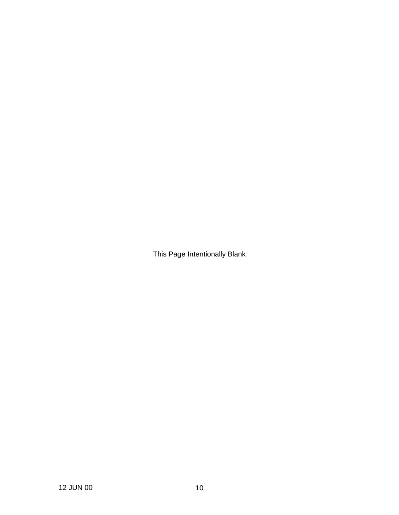This Page Intentionally Blank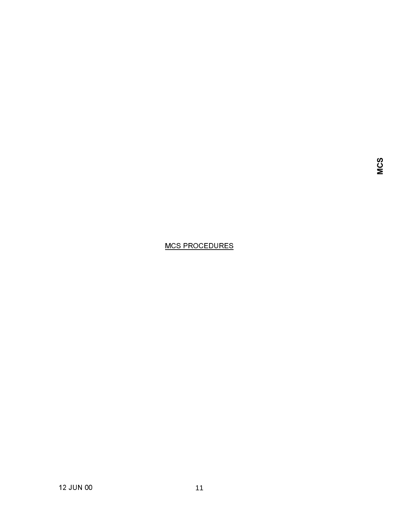## MCS PROCEDURES

MCS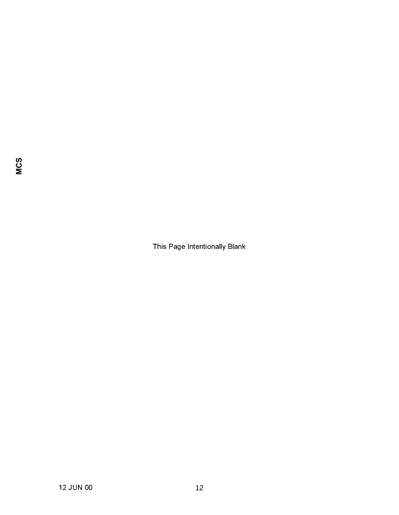This Page Intentionally Blank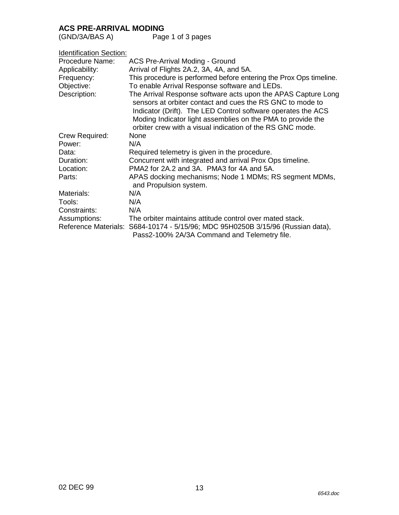## **ACS PRE-ARRIVAL MODING**<br>(GND/3A/BAS A) Page

| (GND/3A/BAS A) | Page 1 of 3 pages |
|----------------|-------------------|
|                |                   |

## **Identification Section:**

| Procedure Name: | <b>ACS Pre-Arrival Moding - Ground</b>                                                                                                                                                                                                                                                                                 |
|-----------------|------------------------------------------------------------------------------------------------------------------------------------------------------------------------------------------------------------------------------------------------------------------------------------------------------------------------|
| Applicability:  | Arrival of Flights 2A.2, 3A, 4A, and 5A.                                                                                                                                                                                                                                                                               |
| Frequency:      | This procedure is performed before entering the Prox Ops timeline.                                                                                                                                                                                                                                                     |
| Objective:      | To enable Arrival Response software and LEDs.                                                                                                                                                                                                                                                                          |
| Description:    | The Arrival Response software acts upon the APAS Capture Long<br>sensors at orbiter contact and cues the RS GNC to mode to<br>Indicator (Drift). The LED Control software operates the ACS<br>Moding Indicator light assemblies on the PMA to provide the<br>orbiter crew with a visual indication of the RS GNC mode. |
| Crew Required:  | None                                                                                                                                                                                                                                                                                                                   |
| Power:          | N/A                                                                                                                                                                                                                                                                                                                    |
| Data:           | Required telemetry is given in the procedure.                                                                                                                                                                                                                                                                          |
| Duration:       | Concurrent with integrated and arrival Prox Ops timeline.                                                                                                                                                                                                                                                              |
| Location:       | PMA2 for 2A.2 and 3A. PMA3 for 4A and 5A.                                                                                                                                                                                                                                                                              |
| Parts:          | APAS docking mechanisms; Node 1 MDMs; RS segment MDMs,<br>and Propulsion system.                                                                                                                                                                                                                                       |
| Materials:      | N/A                                                                                                                                                                                                                                                                                                                    |
| Tools:          | N/A                                                                                                                                                                                                                                                                                                                    |
| Constraints:    | N/A                                                                                                                                                                                                                                                                                                                    |
| Assumptions:    | The orbiter maintains attitude control over mated stack.                                                                                                                                                                                                                                                               |
|                 | Reference Materials: S684-10174 - 5/15/96; MDC 95H0250B 3/15/96 (Russian data),<br>Pass2-100% 2A/3A Command and Telemetry file.                                                                                                                                                                                        |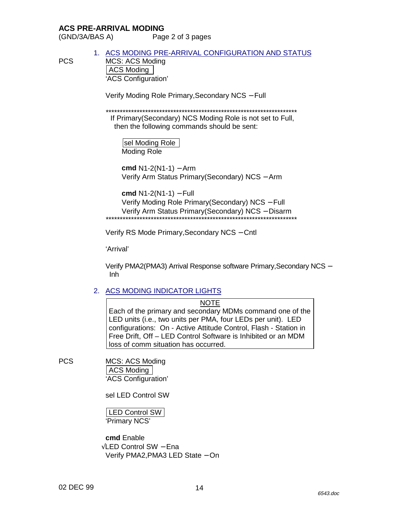#### **ACS PRE-ARRIVAL MODING**

(GND/3A/BAS A) Page 2 of 3 pages

**PCS** 

#### 1. ACS MODING PRE-ARRIVAL CONFIGURATION AND STATUS

MCS: ACS Moding ACS Moding 'ACS Configuration'

Verify Moding Role Primary, Secondary NCS - Full

If Primary(Secondary) NCS Moding Role is not set to Full, then the following commands should be sent:

sel Moding Role **Moding Role** 

cmd  $N1-2(N1-1) - Arm$ Verify Arm Status Primary (Secondary) NCS - Arm

cmd  $N1-2(N1-1) - Full$ Verify Moding Role Primary (Secondary) NCS - Full Verify Arm Status Primary (Secondary) NCS - Disarm

Verify RS Mode Primary, Secondary NCS - Cntl

'Arrival'

Verify PMA2(PMA3) Arrival Response software Primary, Secondary NCS -Inh

#### 2. ACS MODING INDICATOR LIGHTS

#### **NOTE**

Each of the primary and secondary MDMs command one of the LED units (i.e., two units per PMA, four LEDs per unit). LED configurations: On - Active Attitude Control, Flash - Station in Free Drift, Off - LED Control Software is Inhibited or an MDM loss of comm situation has occurred.

**PCS** 

MCS: ACS Moding **ACS Moding** 'ACS Configuration'

sel LED Control SW

cmd Enable  $\sqrt{LED}$  Control SW - Ena Verify PMA2, PMA3 LED State - On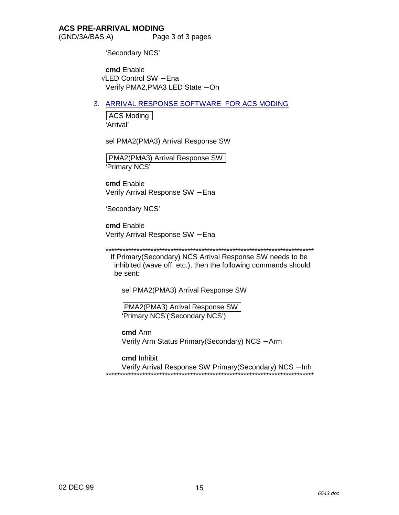#### **ACS PRE-ARRIVAL MODING**

(GND/3A/BAS A) Page 3 of 3 pages

'Secondary NCS'

cmd Enable √LED Control SW - Ena Verify PMA2, PMA3 LED State - On

#### 3. ARRIVAL RESPONSE SOFTWARE FOR ACS MODING

ACS Moding 'Arrival'

sel PMA2(PMA3) Arrival Response SW

PMA2(PMA3) Arrival Response SW 'Primary NCS'

cmd Enable Verify Arrival Response SW - Ena

'Secondary NCS'

cmd Enable Verify Arrival Response SW - Ena

#### 

If Primary(Secondary) NCS Arrival Response SW needs to be inhibited (wave off, etc.), then the following commands should be sent:

sel PMA2(PMA3) Arrival Response SW

PMA2(PMA3) Arrival Response SW 'Primary NCS'('Secondary NCS')

cmd Arm

Verify Arm Status Primary(Secondary) NCS - Arm

cmd Inhibit

Verify Arrival Response SW Primary (Secondary) NCS - Inh \*\*\*\*\*\*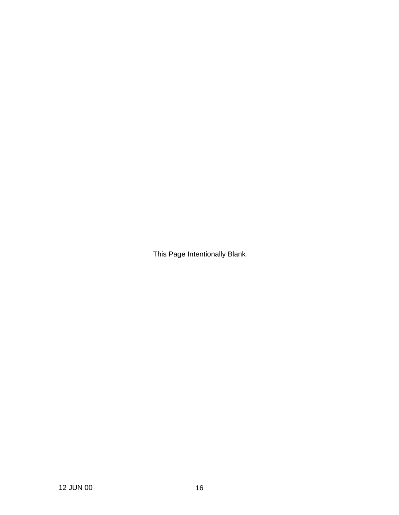This Page Intentionally Blank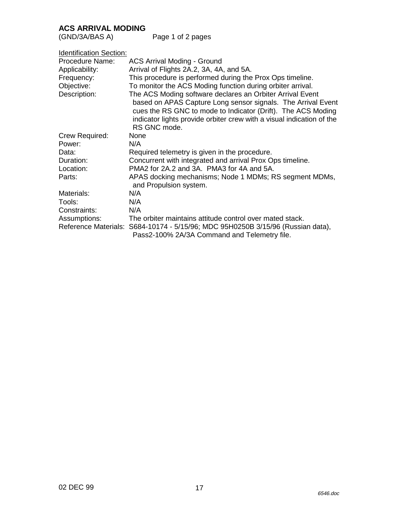## **ACS ARRIVAL MODING**

| Page 1 of 2 pages |
|-------------------|
|                   |

## **Identification Section:**

| Procedure Name: | <b>ACS Arrival Moding - Ground</b>                                                                                                                                                                                                                                                 |
|-----------------|------------------------------------------------------------------------------------------------------------------------------------------------------------------------------------------------------------------------------------------------------------------------------------|
| Applicability:  | Arrival of Flights 2A.2, 3A, 4A, and 5A.                                                                                                                                                                                                                                           |
| Frequency:      | This procedure is performed during the Prox Ops timeline.                                                                                                                                                                                                                          |
| Objective:      | To monitor the ACS Moding function during orbiter arrival.                                                                                                                                                                                                                         |
| Description:    | The ACS Moding software declares an Orbiter Arrival Event<br>based on APAS Capture Long sensor signals. The Arrival Event<br>cues the RS GNC to mode to Indicator (Drift). The ACS Moding<br>indicator lights provide orbiter crew with a visual indication of the<br>RS GNC mode. |
| Crew Required:  | None                                                                                                                                                                                                                                                                               |
| Power:          | N/A                                                                                                                                                                                                                                                                                |
| Data:           | Required telemetry is given in the procedure.                                                                                                                                                                                                                                      |
| Duration:       | Concurrent with integrated and arrival Prox Ops timeline.                                                                                                                                                                                                                          |
| Location:       | PMA2 for 2A.2 and 3A. PMA3 for 4A and 5A.                                                                                                                                                                                                                                          |
| Parts:          | APAS docking mechanisms; Node 1 MDMs; RS segment MDMs,<br>and Propulsion system.                                                                                                                                                                                                   |
| Materials:      | N/A                                                                                                                                                                                                                                                                                |
| Tools:          | N/A                                                                                                                                                                                                                                                                                |
| Constraints:    | N/A                                                                                                                                                                                                                                                                                |
| Assumptions:    | The orbiter maintains attitude control over mated stack.                                                                                                                                                                                                                           |
|                 | Reference Materials: S684-10174 - 5/15/96; MDC 95H0250B 3/15/96 (Russian data),<br>Pass2-100% 2A/3A Command and Telemetry file.                                                                                                                                                    |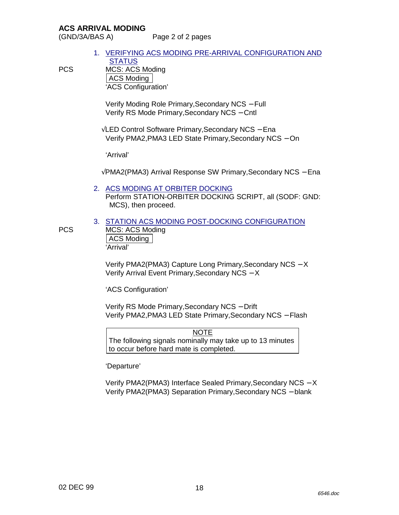#### **ACS ARRIVAL MODING**

(GND/3A/BAS A) Page 2 of 2 pages

1. VERIFYING ACS MODING PRE-ARRIVAL CONFIGURATION AND **STATUS** 

PCS MCS: ACS Moding ACS Moding 'ACS Configuration'

> Verify Moding Role Primary,Secondary NCS − Full Verify RS Mode Primary,Secondary NCS − Cntl

√LED Control Software Primary,Secondary NCS − Ena Verify PMA2,PMA3 LED State Primary,Secondary NCS − On

'Arrival'

√PMA2(PMA3) Arrival Response SW Primary,Secondary NCS − Ena

- 2. ACS MODING AT ORBITER DOCKING Perform STATION-ORBITER DOCKING SCRIPT, all (SODF: GND: MCS), then proceed.
- 3. STATION ACS MODING POST-DOCKING CONFIGURATION PCS MCS: ACS Moding **ACS Moding** 'Arrival'

Verify PMA2(PMA3) Capture Long Primary,Secondary NCS − X Verify Arrival Event Primary,Secondary NCS − X

'ACS Configuration'

Verify RS Mode Primary,Secondary NCS − Drift Verify PMA2,PMA3 LED State Primary,Secondary NCS − Flash

NOTE The following signals nominally may take up to 13 minutes to occur before hard mate is completed.

'Departure'

Verify PMA2(PMA3) Interface Sealed Primary,Secondary NCS − X Verify PMA2(PMA3) Separation Primary,Secondary NCS − blank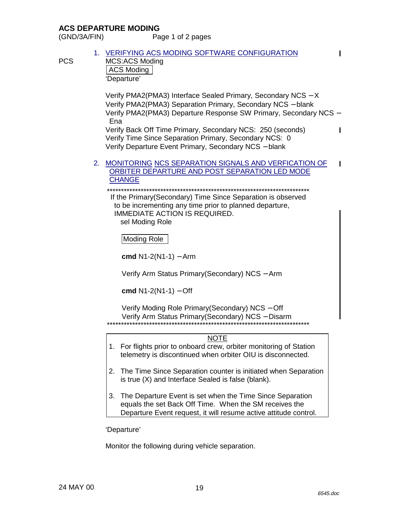#### **ACS DEPARTURE MODING**

(GND/3A/FIN)

Page 1 of 2 pages

#### 1. VERIFYING ACS MODING SOFTWARE CONFIGURATION

**PCS** 

**MCS:ACS Moding** ACS Moding 'Departure'

Verify PMA2(PMA3) Interface Sealed Primary, Secondary NCS - X Verify PMA2(PMA3) Separation Primary, Secondary NCS - blank Verify PMA2(PMA3) Departure Response SW Primary, Secondary NCS -Ena  $\mathbf{I}$ 

Verify Back Off Time Primary, Secondary NCS: 250 (seconds) Verify Time Since Separation Primary, Secondary NCS: 0 Verify Departure Event Primary, Secondary NCS - blank

2. MONITORING NCS SEPARATION SIGNALS AND VERFICATION OF ORBITER DEPARTURE AND POST SEPARATION LED MODE **CHANGE** 

\*\*\*\*\*\*\*\*\*\*\*\*\*\*

If the Primary (Secondary) Time Since Separation is observed to be incrementing any time prior to planned departure. **IMMEDIATE ACTION IS REQUIRED.** sel Moding Role

Moding Role

cmd  $N1-2(N1-1) - Arm$ 

Verify Arm Status Primary (Secondary) NCS - Arm

 $cmd$  N<sub>1</sub>-2(N<sub>1</sub>-1) – Off

Verify Moding Role Primary(Secondary) NCS - Off Verify Arm Status Primary (Secondary) NCS - Disarm 

#### **NOTE**

- 1. For flights prior to onboard crew, orbiter monitoring of Station telemetry is discontinued when orbiter OIU is disconnected.
- 2. The Time Since Separation counter is initiated when Separation is true (X) and Interface Sealed is false (blank).
- 3. The Departure Event is set when the Time Since Separation equals the set Back Off Time. When the SM receives the Departure Event request, it will resume active attitude control.

'Departure'

Monitor the following during vehicle separation.

 $\mathbf{I}$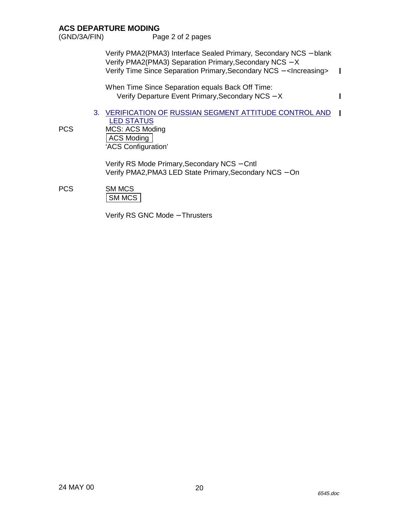#### **ACS DEPARTURE MODING**

(GND/3A/FIN) Page 2 of 2 pages

Verify PMA2(PMA3) Interface Sealed Primary, Secondary NCS − blank Verify PMA2(PMA3) Separation Primary,Secondary NCS − X Verify Time Since Separation Primary,Secondary NCS − <Increasing>

When Time Since Separation equals Back Off Time: Verify Departure Event Primary,Secondary NCS − X

 $\overline{1}$ 

 $\blacksquare$ 

#### 3. VERIFICATION OF RUSSIAN SEGMENT ATTITUDE CONTROL AND  $\blacksquare$ LED STATUS PCS MCS: ACS Moding ACS Moding

'ACS Configuration'

Verify RS Mode Primary,Secondary NCS − Cntl Verify PMA2,PMA3 LED State Primary,Secondary NCS − On

PCS SM MCS SM MCS

Verify RS GNC Mode – Thrusters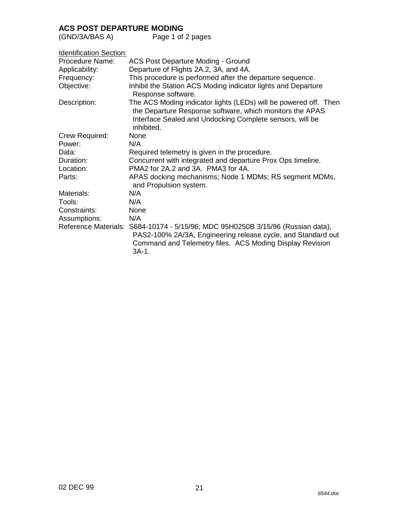## **ACS POST DEPARTURE MODING**

| (GND/3A/BAS A)                 | Page 1 of 2 pages                                                                                                                                                                                                      |
|--------------------------------|------------------------------------------------------------------------------------------------------------------------------------------------------------------------------------------------------------------------|
| <b>Identification Section:</b> |                                                                                                                                                                                                                        |
| Procedure Name:                | <b>ACS Post Departure Moding - Ground</b>                                                                                                                                                                              |
| Applicability:                 | Departure of Flights 2A.2, 3A, and 4A.                                                                                                                                                                                 |
| Frequency:                     | This procedure is performed after the departure sequence.                                                                                                                                                              |
| Objective:                     | Inhibit the Station ACS Moding indicator lights and Departure<br>Response software.                                                                                                                                    |
| Description:                   | The ACS Moding indicator lights (LEDs) will be powered off. Then<br>the Departure Response software, which monitors the APAS<br>Interface Sealed and Undocking Complete sensors, will be<br>inhibited.                 |
| Crew Required:                 | None                                                                                                                                                                                                                   |
| Power:                         | N/A                                                                                                                                                                                                                    |
| Data:                          | Required telemetry is given in the procedure.                                                                                                                                                                          |
| Duration:                      | Concurrent with integrated and departure Prox Ops timeline.                                                                                                                                                            |
| Location:                      | PMA2 for 2A.2 and 3A. PMA3 for 4A.                                                                                                                                                                                     |
| Parts:                         | APAS docking mechanisms; Node 1 MDMs; RS segment MDMs,<br>and Propulsion system.                                                                                                                                       |
| Materials:                     | N/A                                                                                                                                                                                                                    |
| Tools:                         | N/A                                                                                                                                                                                                                    |
| Constraints:                   | None                                                                                                                                                                                                                   |
| Assumptions:                   | N/A                                                                                                                                                                                                                    |
|                                | Reference Materials: S684-10174 - 5/15/96; MDC 95H0250B 3/15/96 (Russian data),<br>PAS2-100% 2A/3A, Engineering release cycle, and Standard out<br>Command and Telemetry files. ACS Moding Display Revision<br>$3A-1.$ |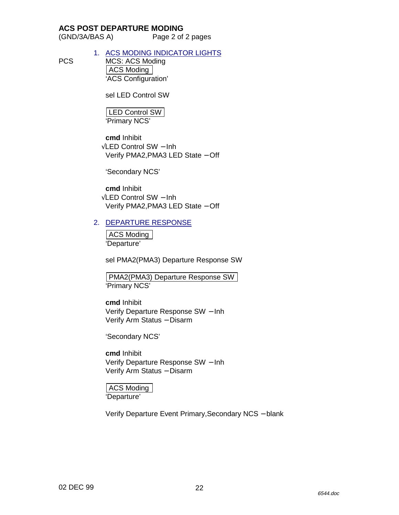#### **ACS POST DEPARTURE MODING**

| (GND/3A/BAS A) | Page 2 of 2 pages |
|----------------|-------------------|
|----------------|-------------------|

#### 1. ACS MODING INDICATOR LIGHTS

PCS MCS: ACS Moding ACS Moding 'ACS Configuration'

sel LED Control SW

LED Control SW 'Primary NCS'

**cmd** Inhibit √LED Control SW − Inh Verify PMA2,PMA3 LED State − Off

'Secondary NCS'

**cmd** Inhibit √LED Control SW − Inh Verify PMA2,PMA3 LED State − Off

#### 2. DEPARTURE RESPONSE

ACS Moding 'Departure'

sel PMA2(PMA3) Departure Response SW

PMA2(PMA3) Departure Response SW 'Primary NCS'

**cmd** Inhibit Verify Departure Response SW – Inh Verify Arm Status − Disarm

'Secondary NCS'

**cmd** Inhibit Verify Departure Response SW – Inh Verify Arm Status - Disarm

**ACS Moding** 'Departure'

Verify Departure Event Primary,Secondary NCS − blank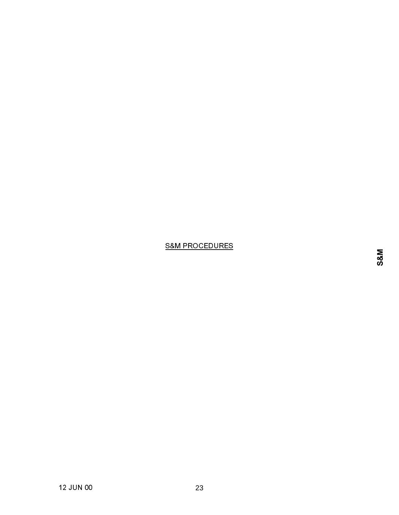## S&M PROCEDURES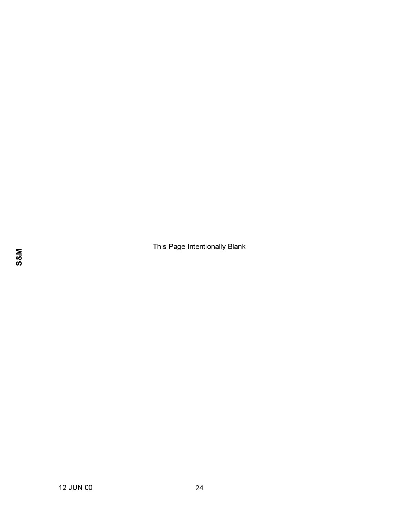This Page Intentionally Blank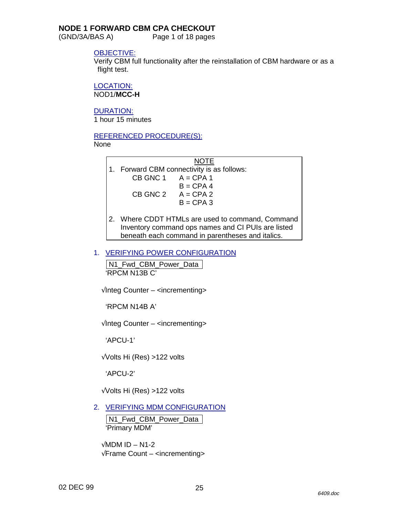(GND/3A/BAS A) Page 1 of 18 pages

#### OBJECTIVE:

Verify CBM full functionality after the reinstallation of CBM hardware or as a flight test.

LOCATION: NOD1/**MCC-H**

#### DURATION:

1 hour 15 minutes

## REFERENCED PROCEDURE(S):

None

|                        | NOTE                                       |
|------------------------|--------------------------------------------|
|                        | 1. Forward CBM connectivity is as follows: |
| CB GNC 1 $A = CPA 1$   |                                            |
|                        | $B = CPA 4$                                |
| $CB$ GNC 2 $A = CPA$ 2 |                                            |
|                        | $B = CPA$ 3                                |
|                        |                                            |

2. Where CDDT HTMLs are used to command, Command Inventory command ops names and CI PUIs are listed beneath each command in parentheses and italics.

#### 1. VERIFYING POWER CONFIGURATION

N1\_Fwd\_CBM\_Power\_Data 'RPCM N13B C'

√Integ Counter – <incrementing>

'RPCM N14B A'

√Integ Counter – <incrementing>

'APCU-1'

√Volts Hi (Res) >122 volts

'APCU-2'

√Volts Hi (Res) >122 volts

#### 2. VERIFYING MDM CONFIGURATION

N1\_Fwd\_CBM\_Power\_Data 'Primary MDM'

 $\sqrt{MDM}$  ID – N1-2 √Frame Count – <incrementing>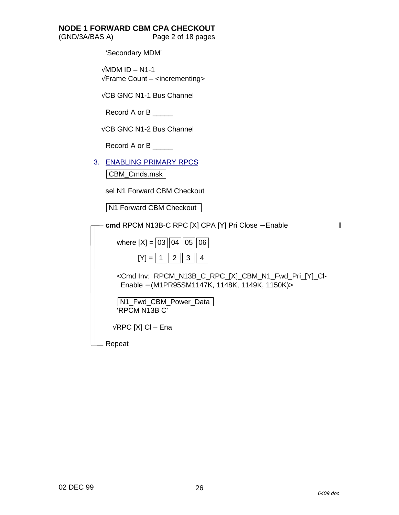(GND/3A/BAS A) Page 2 of 18 pages

'Secondary MDM'

 $\sqrt{MDM}$  ID – N1-1 √Frame Count – <incrementing>

√CB GNC N1-1 Bus Channel

Record A or B \_\_\_\_\_

√CB GNC N1-2 Bus Channel

Record A or B \_\_\_\_\_

3. ENABLING PRIMARY RPCS

CBM\_Cmds.msk

sel N1 Forward CBM Checkout

N1 Forward CBM Checkout

**cmd** RPCM N13B-C RPC [X] CPA [Y] Pri Close − Enable

 $\mathbf{I}$ 

| where $[X] = 03   04   05   06$ |  |  |
|---------------------------------|--|--|
| $[Y] =   1    2    3    4  $    |  |  |

<Cmd Inv: RPCM\_N13B\_C\_RPC\_[X]\_CBM\_N1\_Fwd\_Pri\_[Y]\_Cl-Enable − (M1PR95SM1147K, 1148K, 1149K, 1150K)>

| N1 Fwd CBM Power Data |
|-----------------------|
| 'RPCM N13B C'         |

 $\sqrt{RPC}$  [X] Cl – Ena

Repeat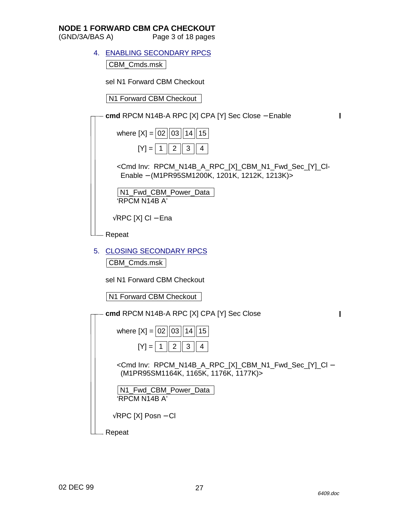(GND/3A/BAS A) Page 3 of 18 pages

4. ENABLING SECONDARY RPCS

CBM\_Cmds.msk

sel N1 Forward CBM Checkout

N1 Forward CBM Checkout

**cmd** RPCM N14B-A RPC [X] CPA [Y] Sec Close − Enable

 $\mathbf{I}$ 

| where $[X] =  02  03  14  15 $ |                      |  |
|--------------------------------|----------------------|--|
|                                | $= 1 \, 1 \, 2 \, 3$ |  |

<Cmd Inv: RPCM\_N14B\_A\_RPC\_[X]\_CBM\_N1\_Fwd\_Sec\_[Y]\_Cl-Enable − (M1PR95SM1200K, 1201K, 1212K, 1213K)>

|  |               | N1_Fwd_CBM_Power_Data |  |
|--|---------------|-----------------------|--|
|  | 'RPCM N14B A' |                       |  |

√RPC [X] Cl − Ena

Repeat

5. CLOSING SECONDARY RPCS

CBM\_Cmds.msk

sel N1 Forward CBM Checkout

N1 Forward CBM Checkout

**cmd** RPCM N14B-A RPC [X] CPA [Y] Sec Close

 $\mathbf{I}$ 

| where [X] = $\boxed{02}$ $\boxed{03}$ $\boxed{14}$ $\boxed{15}$ |  |  |  |
|-----------------------------------------------------------------|--|--|--|
| $[Y] =   1    2    3    4$                                      |  |  |  |

<Cmd Inv: RPCM\_N14B\_A\_RPC\_[X]\_CBM\_N1\_Fwd\_Sec\_[Y]\_Cl − (M1PR95SM1164K, 1165K, 1176K, 1177K)>

| N1_Fwd_CBM_Power_Data |
|-----------------------|
| 'RPCM N14B A'         |
|                       |

√RPC [X] Posn − Cl

Repeat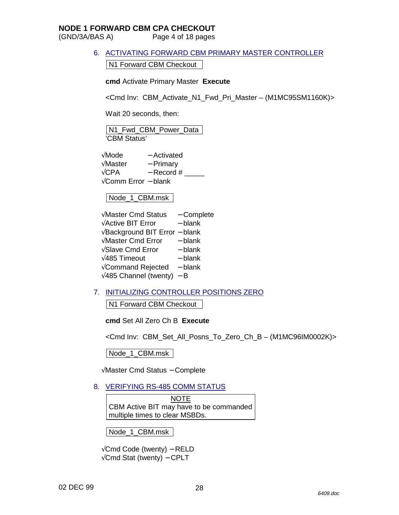(GND/3A/BAS A) Page 4 of 18 pages

## 6. ACTIVATING FORWARD CBM PRIMARY MASTER CONTROLLER N1 Forward CBM Checkout

#### **cmd** Activate Primary Master **Execute**

<Cmd Inv: CBM\_Activate\_N1\_Fwd\_Pri\_Master – (M1MC95SM1160K)>

Wait 20 seconds, then:

N1\_Fwd\_CBM\_Power\_Data 'CBM Status'

√Mode − Activated √Master − Primary  $\sqrt{CPA}$  - Record # \_\_\_\_\_ √Comm Error − blank

#### Node\_1\_CBM.msk

√Master Cmd Status − Complete √Active BIT Error − blank √Background BIT Error − blank √Master Cmd Error − blank √Slave Cmd Error − blank √485 Timeout − blank √Command Rejected − blank  $\sqrt{485}$  Channel (twenty) – B

#### 7. INITIALIZING CONTROLLER POSITIONS ZERO

N1 Forward CBM Checkout

**cmd** Set All Zero Ch B **Execute**

<Cmd Inv: CBM\_Set\_All\_Posns\_To\_Zero\_Ch\_B – (M1MC96IM0002K)>

Node\_1\_CBM.msk

√Master Cmd Status − Complete

#### 8. VERIFYING RS-485 COMM STATUS

NOTE CBM Active BIT may have to be commanded multiple times to clear MSBDs.

Node 1 CBM.msk

√Cmd Code (twenty) − RELD √Cmd Stat (twenty) − CPLT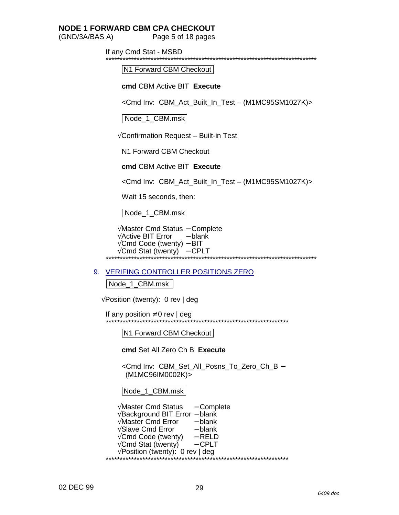(GND/3A/BAS A) Page 5 of 18 pages

If any Cmd Stat - MSBD

N1 Forward CBM Checkout

cmd CBM Active BIT Execute

<Cmd Inv: CBM\_Act\_Built\_In\_Test - (M1MC95SM1027K)>

Node 1 CBM.msk

 $\sqrt{\text{Confirmation Request}} - \text{Build-in Test}$ 

N1 Forward CBM Checkout

cmd CBM Active BIT Execute

<Cmd Inv: CBM\_Act\_Built\_In\_Test - (M1MC95SM1027K)>

Wait 15 seconds, then:

Node\_1\_CBM.msk

 $\sqrt{M}$ aster Cmd Status - Complete  $\sqrt{\text{Active BIT Error}}$ – blank  $\sqrt{C}$ md Code (twenty) - BIT \*\*\*\*\*\*\*\*\*\*\* 

9. VERIFING CONTROLLER POSITIONS ZERO

Node 1 CBM.msk

 $\sqrt{P}$  Osition (twenty): 0 rev | deg

If any position  $\neq 0$  rev | deg \*\*\*\*\*\*\*\*\*\*\*\*\*\*\*\*\*\*\*\*\*\*\*\*\*\*

N1 Forward CBM Checkout

cmd Set All Zero Ch B Execute

<Cmd Inv: CBM\_Set\_All\_Posns\_To\_Zero\_Ch\_B -(M1MC96IM0002K)>

Node 1 CBM.msk

 $\sqrt{M}$ aster Cmd Status - Complete  $\sqrt{\text{Background BIT Error}} - \text{blank}$  $\sqrt{M}$ aster Cmd Error - blank  $\sqrt{\text{Slave}}$  Cmd Error  $-$  blank  $\sqrt{C}$ md Code (twenty) – RELD<br>  $\sqrt{C}$ md Stat (twenty) – CPLT<br>  $\sqrt{P}$ osition (twenty): 0 rev | deg \*\*\*\*\*\*\*\*\*\*\*\*\*\*\*\*\*\*\*\*\*\*\*\*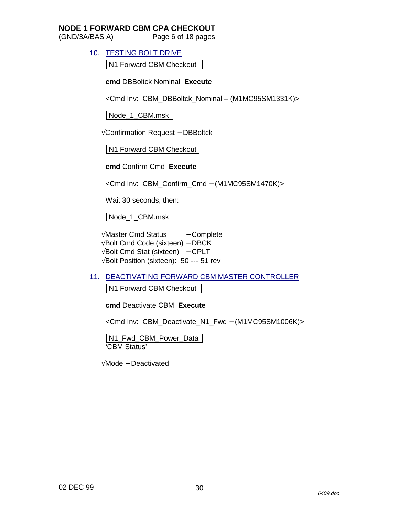(GND/3A/BAS A) Page 6 of 18 pages

10. TESTING BOLT DRIVE N1 Forward CBM Checkout

## **cmd** DBBoltck Nominal **Execute**

<Cmd Inv: CBM\_DBBoltck\_Nominal – (M1MC95SM1331K)>

Node\_1\_CBM.msk |

√Confirmation Request − DBBoltck

| N1 Forward CBM Checkout |

**cmd** Confirm Cmd **Execute**

<Cmd Inv: CBM\_Confirm\_Cmd − (M1MC95SM1470K)>

Wait 30 seconds, then:

Node\_1\_CBM.msk

√Master Cmd Status − Complete √Bolt Cmd Code (sixteen) − DBCK √Bolt Cmd Stat (sixteen) − CPLT √Bolt Position (sixteen): 50 --- 51 rev

## 11. DEACTIVATING FORWARD CBM MASTER CONTROLLER

N1 Forward CBM Checkout

**cmd** Deactivate CBM **Execute**

<Cmd Inv: CBM\_Deactivate\_N1\_Fwd − (M1MC95SM1006K)>

N1\_Fwd\_CBM\_Power\_Data 'CBM Status'

√Mode − Deactivated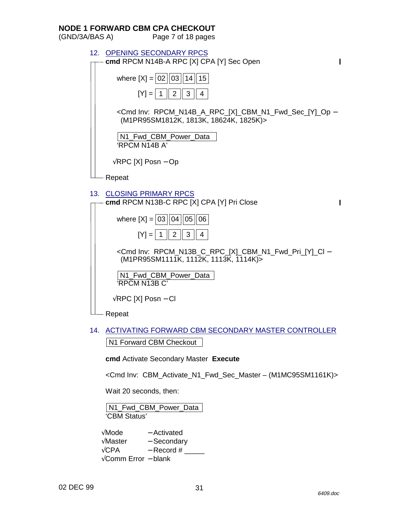| וט וועש שורוי<br>(GND/3A/BAS A) Page 7 of 18 pages                                                                |  |
|-------------------------------------------------------------------------------------------------------------------|--|
| 12. OPENING SECONDARY RPCS<br>cmd RPCM N14B-A RPC [X] CPA [Y] Sec Open                                            |  |
| where $[X] =  02  03  14 $<br>15<br>$\overline{2}$<br>$\mathbf{3}$<br>$[Y] =$<br>$\overline{1}$<br>4              |  |
| <cmd -<br="" inv:="" rpcm_n14b_a_rpc_[x]_cbm_n1_fwd_sec_[y]_op="">(M1PR95SM1812K, 1813K, 18624K, 1825K)&gt;</cmd> |  |
| N1_Fwd_CBM_Power_Data<br>'RPCM N14B A'                                                                            |  |
| $\sqrt{RPC}$ [X] Posn – Op                                                                                        |  |
| - Repeat                                                                                                          |  |
| 13. CLOSING PRIMARY RPCS<br>cmd RPCM N13B-C RPC [X] CPA [Y] Pri Close                                             |  |
| where $[X] =  03  04  05  06$<br>$\mathbf{3}$<br>$\overline{2}$<br>$[Y] =$<br>4<br>$\overline{\mathbf{1}}$        |  |
| <cmd -<br="" inv:="" rpcm_n13b_c_rpc_[x]_cbm_n1_fwd_pri_[y]_cl="">(M1PR95SM1111K, 1112K, 1113K, 1114K)&gt;</cmd>  |  |
| N1_Fwd_CBM_Power_Data<br>'RPCM N13B C'                                                                            |  |
| $\sqrt{RPC}$ [X] Posn – Cl                                                                                        |  |
| Repeat                                                                                                            |  |

14. ACTIVATING FORWARD CBM SECONDARY MASTER CONTROLLER N1 Forward CBM Checkout

**cmd** Activate Secondary Master **Execute**

<Cmd Inv: CBM\_Activate\_N1\_Fwd\_Sec\_Master – (M1MC95SM1161K)>

Wait 20 seconds, then:

N1\_Fwd\_CBM\_Power\_Data 'CBM Status'

√Mode – Activated<br>√Master – Secondar √Master − Secondary  $\sqrt{CPA}$  – Record # \_\_\_\_\_\_ √Comm Error − blank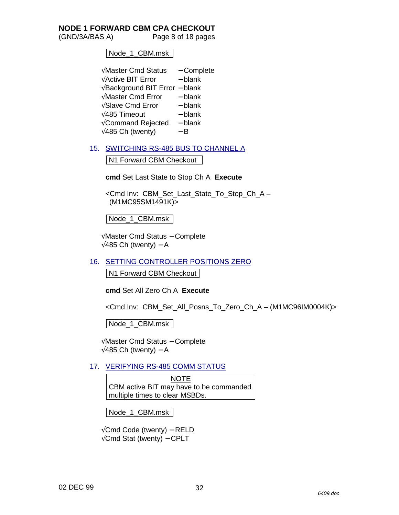(GND/3A/BAS A) Page 8 of 18 pages

Node\_1\_CBM.msk

| √Master Cmd Status                              | $-$ Complete |
|-------------------------------------------------|--------------|
| √Active BIT Error                               | $-$ blank    |
| $\sqrt{\mathsf{Back}}$ ground BIT Error – blank |              |
| √Master Cmd Error                               | - blank      |
| √Slave Cmd Error                                | $-$ blank    |
| $\sqrt{485}$ Timeout                            | - blank      |
| √Command Rejected                               | - blank      |
| $\sqrt{485}$ Ch (twenty)                        | $- B$        |

#### 15. SWITCHING RS-485 BUS TO CHANNEL A

N1 Forward CBM Checkout

**cmd** Set Last State to Stop Ch A **Execute**

<Cmd Inv: CBM\_Set\_Last\_State\_To\_Stop\_Ch\_A – (M1MC95SM1491K)>

Node\_1\_CBM.msk

√Master Cmd Status − Complete  $\sqrt{485}$  Ch (twenty) – A

#### 16. SETTING CONTROLLER POSITIONS ZERO

N1 Forward CBM Checkout

**cmd** Set All Zero Ch A **Execute**

<Cmd Inv: CBM\_Set\_All\_Posns\_To\_Zero\_Ch\_A – (M1MC96IM0004K)>

Node 1 CBM.msk

√Master Cmd Status − Complete  $\sqrt{485}$  Ch (twenty) – A

#### 17. VERIFYING RS-485 COMM STATUS

NOTE CBM active BIT may have to be commanded multiple times to clear MSBDs.

Node\_1\_CBM.msk

√Cmd Code (twenty) − RELD √Cmd Stat (twenty) − CPLT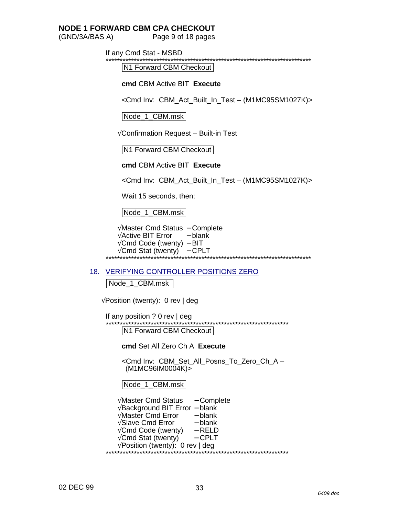(GND/3A/BAS A) Page 9 of 18 pages

If any Cmd Stat - MSBD

N1 Forward CBM Checkout

cmd CBM Active BIT Execute

<Cmd Inv: CBM\_Act\_Built\_In\_Test - (M1MC95SM1027K)>

Node\_1\_CBM.msk

√Confirmation Request – Built-in Test

N1 Forward CBM Checkout

cmd CBM Active BIT Execute

<Cmd Inv: CBM\_Act\_Built\_In\_Test - (M1MC95SM1027K)>

Wait 15 seconds, then:

Node\_1\_CBM.msk

 $\sqrt{M}$ aster Cmd Status - Complete  $\sqrt{\text{Active BIT Error}}$ – blank  $\sqrt{C}$ md Code (twenty) – BIT  $\sqrt{C}$ md Stat (twenty) – CPLT \*\*\*\*\*\*\*\*\*\*\*\*\*\*\*\*\*\*\*\*\*\*\*\*\*\*

18. VERIFYING CONTROLLER POSITIONS ZERO

Node 1 CBM.msk

 $\sqrt{P}$  Osition (twenty): 0 rev | deg

If any position ? 0 rev | deg \*\*\*\*\*\*\*\*\*\*\*\*\*\*\*\*\*\*\*\*\*\*\*\*\*\*\*\*\*\*\*\* |N1 Forward CBM Checkout |

cmd Set All Zero Ch A Execute

<Cmd Inv: CBM\_Set\_All\_Posns\_To\_Zero\_Ch\_A -(M1MC96IM0004K)>

Node\_1\_CBM.msk

 $\sqrt{M}$ aster Cmd Status - Complete  $\sqrt{\text{Background BIT Error}} - \text{blank}$ √Master Cmd Error – blank  $\sqrt{\text{Slave}}$  Cmd Error – blank  $\sqrt{C}$ md Code (twenty) – RELD  $\sqrt{C}$ md Stat (twenty) – CPLT  $\sqrt{P}$ osition (twenty): 0 rev | deg \*\*\*\*\*\*\*\*\*\*\*\*\*\*\*\*\*\*\*\*\*\*\*\*\*\*\*\*\*\*\*\*\*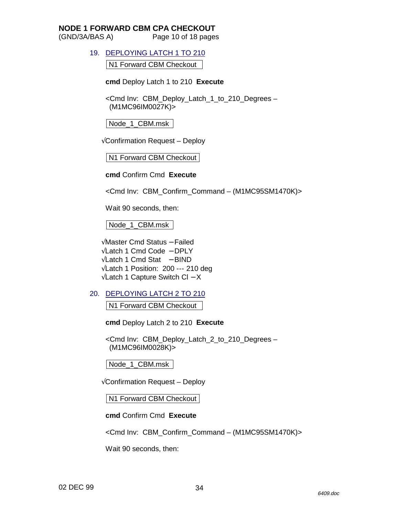(GND/3A/BAS A) Page 10 of 18 pages

19. DEPLOYING LATCH 1 TO 210 N1 Forward CBM Checkout

#### **cmd** Deploy Latch 1 to 210 **Execute**

<Cmd Inv: CBM\_Deploy\_Latch\_1\_to\_210\_Degrees – (M1MC96IM0027K)>

Node\_1\_CBM.msk

√Confirmation Request – Deploy

N1 Forward CBM Checkout

**cmd** Confirm Cmd **Execute**

<Cmd Inv: CBM\_Confirm\_Command – (M1MC95SM1470K)>

Wait 90 seconds, then:

Node\_1\_CBM.msk

√Master Cmd Status − Failed √Latch 1 Cmd Code − DPLY √Latch 1 Cmd Stat − BIND √Latch 1 Position: 200 --- 210 deg √Latch 1 Capture Switch Cl − X

#### 20. DEPLOYING LATCH 2 TO 210

N1 Forward CBM Checkout

**cmd** Deploy Latch 2 to 210 **Execute**

<Cmd Inv: CBM\_Deploy\_Latch\_2\_to\_210\_Degrees – (M1MC96IM0028K)>

Node\_1\_CBM.msk

√Confirmation Request – Deploy

N<sub>1</sub> Forward CBM Checkout

#### **cmd** Confirm Cmd **Execute**

<Cmd Inv: CBM\_Confirm\_Command – (M1MC95SM1470K)>

Wait 90 seconds, then: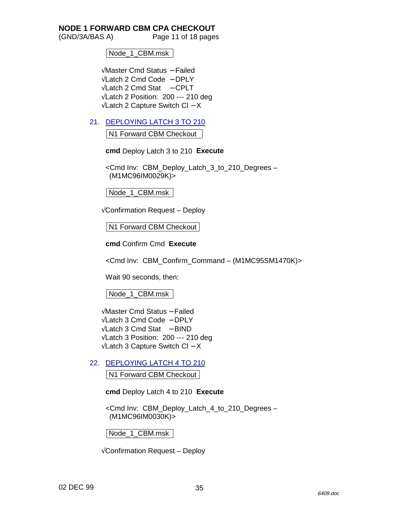(GND/3A/BAS A) Page 11 of 18 pages

Node\_1\_CBM.msk

√Master Cmd Status − Failed √Latch 2 Cmd Code − DPLY √Latch 2 Cmd Stat − CPLT √Latch 2 Position: 200 --- 210 deg √Latch 2 Capture Switch Cl − X

## 21. DEPLOYING LATCH 3 TO 210

N1 Forward CBM Checkout

**cmd** Deploy Latch 3 to 210 **Execute**

<Cmd Inv: CBM\_Deploy\_Latch\_3\_to\_210\_Degrees – (M1MC96IM0029K)>

Node\_1\_CBM.msk

√Confirmation Request – Deploy

N1 Forward CBM Checkout

**cmd** Confirm Cmd **Execute**

<Cmd Inv: CBM\_Confirm\_Command – (M1MC95SM1470K)>

Wait 90 seconds, then:

Node 1 CBM.msk

√Master Cmd Status − Failed √Latch 3 Cmd Code − DPLY √Latch 3 Cmd Stat − BIND √Latch 3 Position: 200 --- 210 deg √Latch 3 Capture Switch Cl − X

## 22. DEPLOYING LATCH 4 TO 210 N1 Forward CBM Checkout

**cmd** Deploy Latch 4 to 210 **Execute**

<Cmd Inv: CBM\_Deploy\_Latch\_4\_to\_210\_Degrees – (M1MC96IM0030K)>

Node\_1\_CBM.msk

√Confirmation Request – Deploy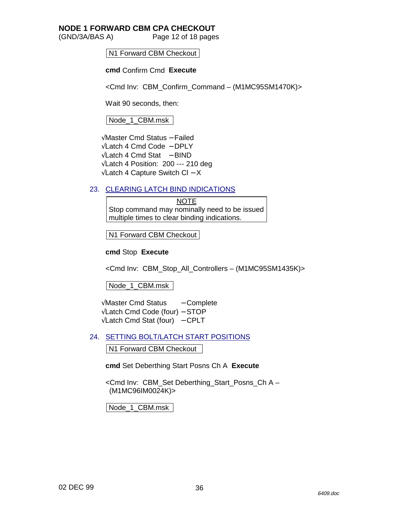(GND/3A/BAS A) Page 12 of 18 pages

N1 Forward CBM Checkout

**cmd** Confirm Cmd **Execute**

<Cmd Inv: CBM\_Confirm\_Command – (M1MC95SM1470K)>

Wait 90 seconds, then:

Node 1 CBM.msk

√Master Cmd Status − Failed √Latch 4 Cmd Code − DPLY √Latch 4 Cmd Stat − BIND √Latch 4 Position: 200 --- 210 deg √Latch 4 Capture Switch Cl − X

### 23. CLEARING LATCH BIND INDICATIONS

NOTE Stop command may nominally need to be issued multiple times to clear binding indications.

N1 Forward CBM Checkout

**cmd** Stop **Execute**

<Cmd Inv: CBM\_Stop\_All\_Controllers – (M1MC95SM1435K)>

| Node\_1\_CBM.msk |

√Master Cmd Status − Complete √Latch Cmd Code (four) − STOP √Latch Cmd Stat (four) − CPLT

24. SETTING BOLT/LATCH START POSITIONS

N1 Forward CBM Checkout

**cmd** Set Deberthing Start Posns Ch A **Execute**

<Cmd Inv: CBM\_Set Deberthing\_Start\_Posns\_Ch A – (M1MC96IM0024K)>

Node\_1\_CBM.msk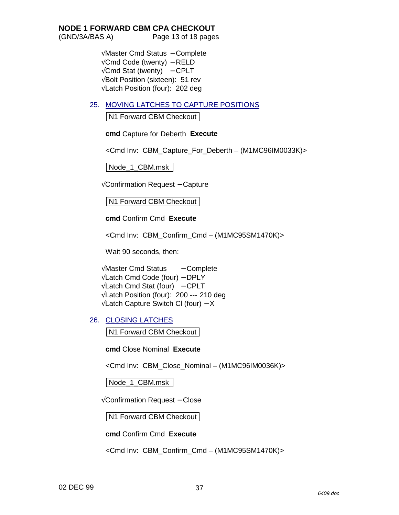(GND/3A/BAS A) Page 13 of 18 pages

√Master Cmd Status − Complete √Cmd Code (twenty) − RELD √Cmd Stat (twenty) − CPLT √Bolt Position (sixteen): 51 rev √Latch Position (four): 202 deg

#### 25. MOVING LATCHES TO CAPTURE POSITIONS

N1 Forward CBM Checkout

**cmd** Capture for Deberth **Execute**

<Cmd Inv: CBM\_Capture\_For\_Deberth – (M1MC96IM0033K)>

Node 1 CBM.msk

√Confirmation Request − Capture

N1 Forward CBM Checkout

**cmd** Confirm Cmd **Execute**

<Cmd Inv: CBM\_Confirm\_Cmd – (M1MC95SM1470K)>

Wait 90 seconds, then:

√Master Cmd Status − Complete √Latch Cmd Code (four) − DPLY √Latch Cmd Stat (four) − CPLT √Latch Position (four): 200 --- 210 deg √Latch Capture Switch Cl (four) − X

26. CLOSING LATCHES

N1 Forward CBM Checkout

**cmd** Close Nominal **Execute**

<Cmd Inv: CBM\_Close\_Nominal – (M1MC96IM0036K)>

Node\_1\_CBM.msk

√Confirmation Request − Close

N1 Forward CBM Checkout

**cmd** Confirm Cmd **Execute**

<Cmd Inv: CBM\_Confirm\_Cmd – (M1MC95SM1470K)>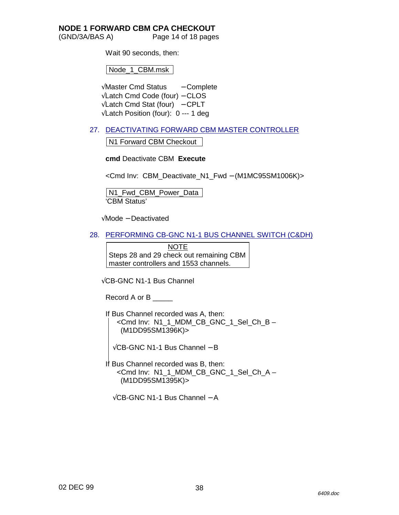(GND/3A/BAS A) Page 14 of 18 pages

Wait 90 seconds, then:

Node 1 CBM.msk

√Master Cmd Status − Complete √Latch Cmd Code (four) − CLOS √Latch Cmd Stat (four) − CPLT √Latch Position (four): 0 --- 1 deg

### 27. DEACTIVATING FORWARD CBM MASTER CONTROLLER

N1 Forward CBM Checkout

**cmd** Deactivate CBM **Execute**

<Cmd Inv: CBM\_Deactivate\_N1\_Fwd − (M1MC95SM1006K)>

N1\_Fwd\_CBM\_Power\_Data 'CBM Status'

√Mode − Deactivated

#### 28. PERFORMING CB-GNC N1-1 BUS CHANNEL SWITCH (C&DH)

NOTE Steps 28 and 29 check out remaining CBM master controllers and 1553 channels.

√CB-GNC N1-1 Bus Channel

Record A or B

If Bus Channel recorded was A, then: <Cmd Inv: N1\_1\_MDM\_CB\_GNC\_1\_Sel\_Ch\_B – (M1DD95SM1396K)>

√CB-GNC N1-1 Bus Channel − B

If Bus Channel recorded was B, then: <Cmd Inv: N1\_1\_MDM\_CB\_GNC\_1\_Sel\_Ch\_A – (M1DD95SM1395K)>

√CB-GNC N1-1 Bus Channel − A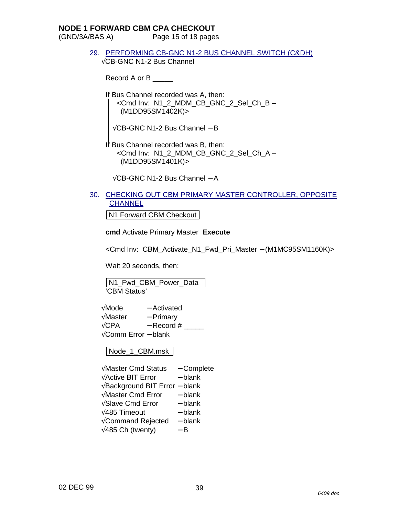(GND/3A/BAS A) Page 15 of 18 pages

29. PERFORMING CB-GNC N1-2 BUS CHANNEL SWITCH (C&DH) √CB-GNC N1-2 Bus Channel

Record A or B

If Bus Channel recorded was A, then: <Cmd Inv: N1\_2\_MDM\_CB\_GNC\_2\_Sel\_Ch\_B – (M1DD95SM1402K)>

√CB-GNC N1-2 Bus Channel − B

If Bus Channel recorded was B, then: <Cmd Inv: N1\_2\_MDM\_CB\_GNC\_2\_Sel\_Ch\_A – (M1DD95SM1401K)>

√CB-GNC N1-2 Bus Channel − A

## 30. CHECKING OUT CBM PRIMARY MASTER CONTROLLER, OPPOSITE **CHANNEL**

N1 Forward CBM Checkout

**cmd** Activate Primary Master **Execute**

<Cmd Inv: CBM\_Activate\_N1\_Fwd\_Pri\_Master − (M1MC95SM1160K)>

Wait 20 seconds, then:

N1\_Fwd\_CBM\_Power\_Data 'CBM Status'

√Mode − Activated √Master − Primary  $\sqrt{CPA}$  – Record # √Comm Error − blank

Node 1 CBM.msk

√Master Cmd Status − Complete √Active BIT Error − blank √Background BIT Error − blank √Master Cmd Error − blank √Slave Cmd Error − blank √485 Timeout − blank √Command Rejected − blank  $\sqrt{485}$  Ch (twenty) – B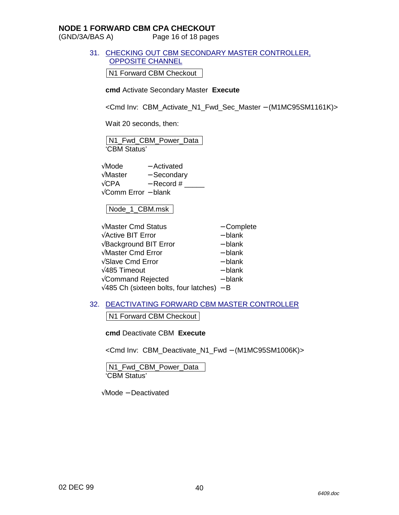(GND/3A/BAS A) Page 16 of 18 pages

### 31. CHECKING OUT CBM SECONDARY MASTER CONTROLLER, OPPOSITE CHANNEL N1 Forward CBM Checkout

**cmd** Activate Secondary Master **Execute**

<Cmd Inv: CBM\_Activate\_N1\_Fwd\_Sec\_Master − (M1MC95SM1161K)>

Wait 20 seconds, then:

N1\_Fwd\_CBM\_Power\_Data 'CBM Status'

√Mode − Activated √Master − Secondary  $\sqrt{\mathsf{CPA}}$   $-$  Record # \_\_\_\_\_ √Comm Error − blank

Node\_1\_CBM.msk

| √Master Cmd Status                                | - Complete |
|---------------------------------------------------|------------|
| √Active BIT Error                                 | $-$ blank  |
| √Background BIT Error                             | - blank    |
| √Master Cmd Error                                 | - blank    |
| √Slave Cmd Error                                  | $-$ blank  |
| $\sqrt{485}$ Timeout                              | $-$ blank  |
| √Command Rejected                                 | – blank    |
| $\sqrt{485}$ Ch (sixteen bolts, four latches) – B |            |
|                                                   |            |

## 32. DEACTIVATING FORWARD CBM MASTER CONTROLLER

N1 Forward CBM Checkout

**cmd** Deactivate CBM **Execute**

<Cmd Inv: CBM\_Deactivate\_N1\_Fwd − (M1MC95SM1006K)>

N1\_Fwd\_CBM\_Power\_Data 'CBM Status'

√Mode − Deactivated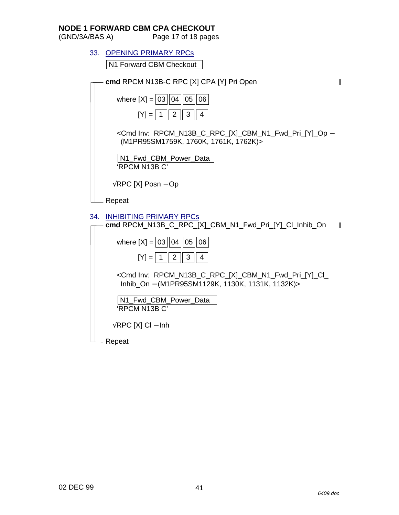| Page 17 of 18 pages |  |
|---------------------|--|
|                     |  |

33. OPENING PRIMARY RPCs

N1 Forward CBM Checkout

| cmd RPCM N13B-C RPC [X] CPA [Y] Pri Open                                                                                |  |
|-------------------------------------------------------------------------------------------------------------------------|--|
| where $[X] =  03  04  05  06$<br>$[Y] =   1    2  $<br>3<br>4                                                           |  |
| <cmd -<br="" inv:="" rpcm_n13b_c_rpc_[x]_cbm_n1_fwd_pri_[y]_op="">(M1PR95SM1759K, 1760K, 1761K, 1762K)&gt;</cmd>        |  |
| N1_Fwd_CBM_Power_Data<br>'RPCM N13B C'                                                                                  |  |
| $\sqrt{RPC}$ [X] Posn – Op                                                                                              |  |
| Repeat                                                                                                                  |  |
| 34.<br><b>INHIBITING PRIMARY RPCs</b><br>cmd RPCM_N13B_C_RPC_[X]_CBM_N1_Fwd_Pri_[Y]_Cl_Inhib_On                         |  |
| where $[X] =  03  04  05  06$<br>$\vert$ 2<br>$\mathbf{3}$<br>$[Y] =   1  $<br>$\overline{4}$                           |  |
| <cmd inv:="" rpcm_n13b_c_rpc_[x]_cbm_n1_fwd_pri_[y]_cl_<br="">Inhib_On - (M1PR95SM1129K, 1130K, 1131K, 1132K)&gt;</cmd> |  |
| N1 Fwd CBM Power Data<br>'RPCM N13B C'                                                                                  |  |
| $\sqrt{RPC}$ [X] CI – Inh                                                                                               |  |
| Repeat                                                                                                                  |  |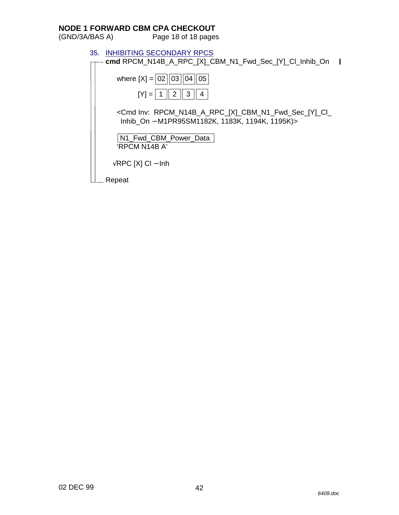## **NODE 1 FORWARD CBM CPA CHECKOUT**<br>(GND/3A/BAS A) Page 18 of 18 pages

(GND/3A/BAS A)

## 35. INHIBITING SECONDARY RPCS

| υu.<br><u>INITIOLITING OLOONDAN LINEOG</u> |                                                                                                                        |  |
|--------------------------------------------|------------------------------------------------------------------------------------------------------------------------|--|
|                                            | cmd RPCM_N14B_A_RPC_[X]_CBM_N1_Fwd_Sec_[Y]_Cl_Inhib_On                                                                 |  |
| where $[X] =  02  $<br>103<br>04           | 05                                                                                                                     |  |
| $[Y] =  $<br>2<br>3                        |                                                                                                                        |  |
|                                            | <cmd inv:="" rpcm_n14b_a_rpc_[x]_cbm_n1_fwd_sec_[y]_cl_<br="">Inhib On - M1PR95SM1182K, 1183K, 1194K, 1195K)&gt;</cmd> |  |
| N1 Fwd CBM Power Data<br>'RPCM N14B A'     |                                                                                                                        |  |
| $\sqrt{RPC}$ [X] CI – Inh                  |                                                                                                                        |  |
| Repeat                                     |                                                                                                                        |  |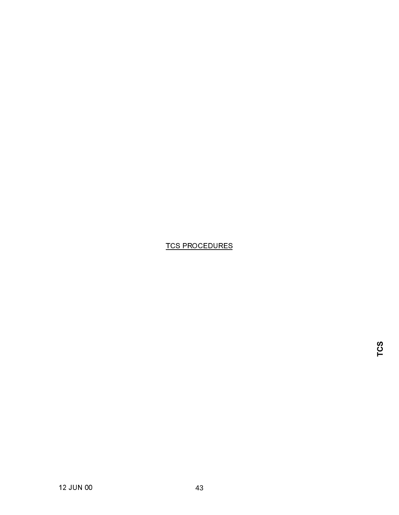## TCS PROCEDURES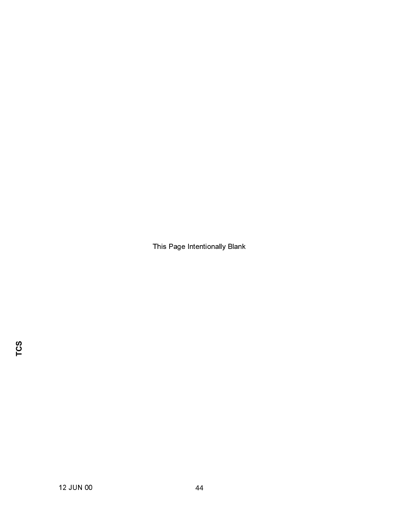This Page Intentionally Blank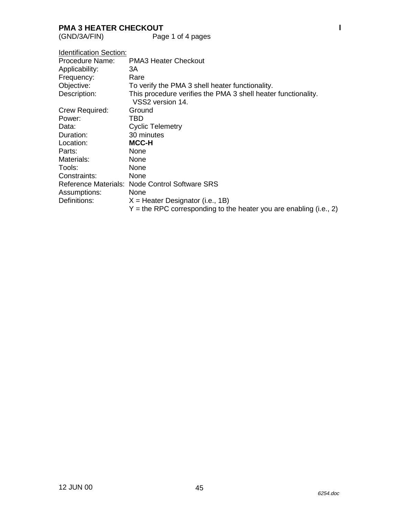| Page 1 of 4 pages |
|-------------------|
|                   |

| <b>Identification Section:</b> |                                                                                   |
|--------------------------------|-----------------------------------------------------------------------------------|
| Procedure Name:                | <b>PMA3 Heater Checkout</b>                                                       |
| Applicability:                 | 3A                                                                                |
| Frequency:                     | Rare                                                                              |
| Objective:                     | To verify the PMA 3 shell heater functionality.                                   |
| Description:                   | This procedure verifies the PMA 3 shell heater functionality.<br>VSS2 version 14. |
| Crew Required:                 | Ground                                                                            |
| Power:                         | TBD                                                                               |
| Data:                          | <b>Cyclic Telemetry</b>                                                           |
| Duration:                      | 30 minutes                                                                        |
| Location:                      | <b>MCC-H</b>                                                                      |
| Parts:                         | <b>None</b>                                                                       |
| Materials:                     | None                                                                              |
| Tools:                         | None                                                                              |
| Constraints:                   | None                                                                              |
|                                | Reference Materials: Node Control Software SRS                                    |
| Assumptions:                   | <b>None</b>                                                                       |
| Definitions:                   | $X =$ Heater Designator (i.e., 1B)                                                |
|                                | $Y =$ the RPC corresponding to the heater you are enabling (i.e., 2)              |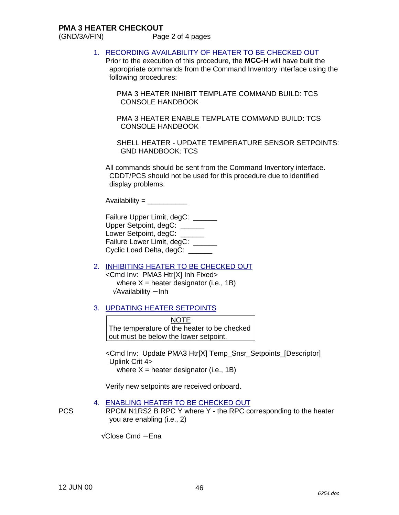(GND/3A/FIN) Page 2 of 4 pages

1. RECORDING AVAILABILITY OF HEATER TO BE CHECKED OUT

Prior to the execution of this procedure, the **MCC-H** will have built the appropriate commands from the Command Inventory interface using the following procedures:

PMA 3 HEATER INHIBIT TEMPLATE COMMAND BUILD: TCS CONSOLE HANDBOOK

PMA 3 HEATER ENABLE TEMPLATE COMMAND BUILD: TCS CONSOLE HANDBOOK

SHELL HEATER - UPDATE TEMPERATURE SENSOR SETPOINTS: GND HANDBOOK: TCS

All commands should be sent from the Command Inventory interface. CDDT/PCS should not be used for this procedure due to identified display problems.

Availability  $=$ 

Failure Upper Limit, degC: \_\_\_\_\_\_ Upper Setpoint, degC: \_\_\_\_\_\_ Lower Setpoint, degC: \_\_\_\_\_\_ Failure Lower Limit, degC: \_\_\_\_\_\_ Cyclic Load Delta, degC: \_\_\_\_\_\_

#### 2. INHIBITING HEATER TO BE CHECKED OUT

<Cmd Inv: PMA3 Htr[X] Inh Fixed> where  $X =$  heater designator (i.e., 1B) √Availability − Inh

#### 3. UPDATING HEATER SETPOINTS

NOTE The temperature of the heater to be checked out must be below the lower setpoint.

<Cmd Inv: Update PMA3 Htr[X] Temp\_Snsr\_Setpoints\_[Descriptor] Uplink Crit 4> where  $X =$  heater designator (i.e., 1B)

Verify new setpoints are received onboard.

#### 4. ENABLING HEATER TO BE CHECKED OUT

PCS RPCM N1RS2 B RPC Y where Y - the RPC corresponding to the heater you are enabling (i.e., 2)

√Close Cmd − Ena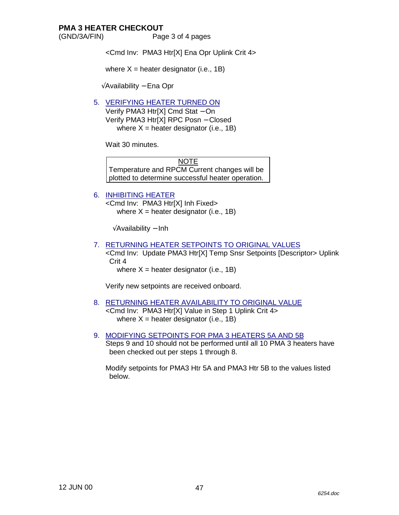(GND/3A/FIN) Page 3 of 4 pages

<Cmd Inv: PMA3 Htr[X] Ena Opr Uplink Crit 4>

where  $X =$  heater designator (i.e., 1B)

√Availability − Ena Opr

5. VERIFYING HEATER TURNED ON

Verify PMA3 Htr[X] Cmd Stat – On Verify PMA3 Htr[X] RPC Posn – Closed where  $X =$  heater designator (i.e., 1B)

Wait 30 minutes.

**NOTE** Temperature and RPCM Current changes will be plotted to determine successful heater operation.

#### 6. INHIBITING HEATER

<Cmd Inv: PMA3 Htr[X] Inh Fixed> where  $X =$  heater designator (i.e., 1B)

√Availability − Inh

7. RETURNING HEATER SETPOINTS TO ORIGINAL VALUES

<Cmd Inv: Update PMA3 Htr[X] Temp Snsr Setpoints [Descriptor> Uplink Crit 4

where  $X =$  heater designator (i.e., 1B)

Verify new setpoints are received onboard.

- 8. RETURNING HEATER AVAILABILITY TO ORIGINAL VALUE <Cmd Inv: PMA3 Htr[X] Value in Step 1 Uplink Crit 4> where  $X =$  heater designator (i.e., 1B)
- 9. MODIFYING SETPOINTS FOR PMA 3 HEATERS 5A AND 5B Steps 9 and 10 should not be performed until all 10 PMA 3 heaters have been checked out per steps 1 through 8.

Modify setpoints for PMA3 Htr 5A and PMA3 Htr 5B to the values listed below.